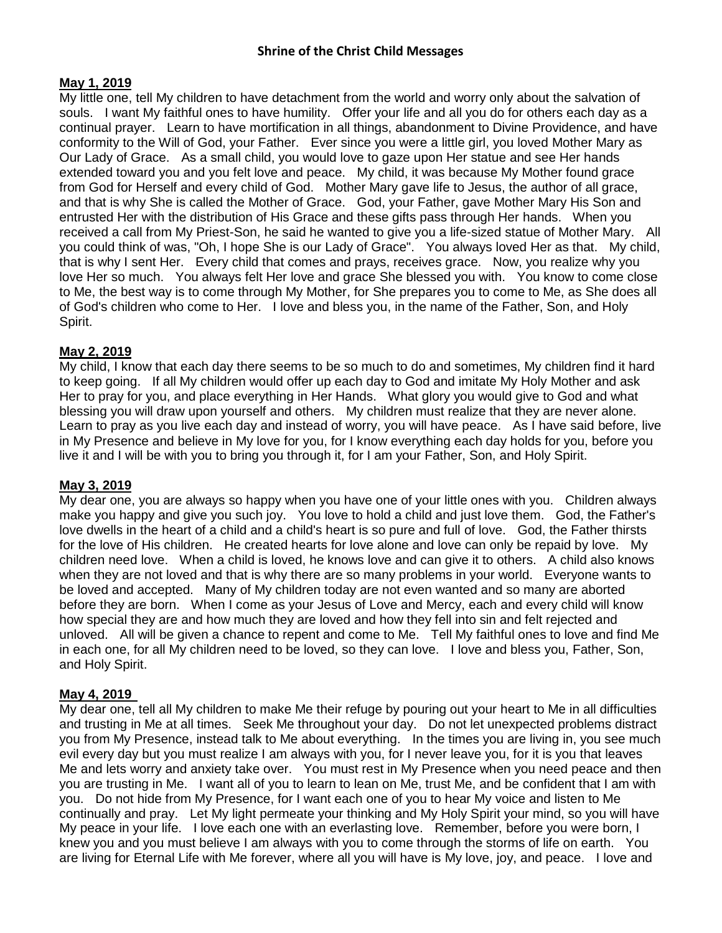# **May 1, 2019**

My little one, tell My children to have detachment from the world and worry only about the salvation of souls. I want My faithful ones to have humility. Offer your life and all you do for others each day as a continual prayer. Learn to have mortification in all things, abandonment to Divine Providence, and have conformity to the Will of God, your Father. Ever since you were a little girl, you loved Mother Mary as Our Lady of Grace. As a small child, you would love to gaze upon Her statue and see Her hands extended toward you and you felt love and peace. My child, it was because My Mother found grace from God for Herself and every child of God. Mother Mary gave life to Jesus, the author of all grace, and that is why She is called the Mother of Grace. God, your Father, gave Mother Mary His Son and entrusted Her with the distribution of His Grace and these gifts pass through Her hands. When you received a call from My Priest-Son, he said he wanted to give you a life-sized statue of Mother Mary. All you could think of was, "Oh, I hope She is our Lady of Grace". You always loved Her as that. My child, that is why I sent Her. Every child that comes and prays, receives grace. Now, you realize why you love Her so much. You always felt Her love and grace She blessed you with. You know to come close to Me, the best way is to come through My Mother, for She prepares you to come to Me, as She does all of God's children who come to Her. I love and bless you, in the name of the Father, Son, and Holy Spirit.

# **May 2, 2019**

My child, I know that each day there seems to be so much to do and sometimes, My children find it hard to keep going. If all My children would offer up each day to God and imitate My Holy Mother and ask Her to pray for you, and place everything in Her Hands. What glory you would give to God and what blessing you will draw upon yourself and others. My children must realize that they are never alone. Learn to pray as you live each day and instead of worry, you will have peace. As I have said before, live in My Presence and believe in My love for you, for I know everything each day holds for you, before you live it and I will be with you to bring you through it, for I am your Father, Son, and Holy Spirit.

# **May 3, 2019**

My dear one, you are always so happy when you have one of your little ones with you. Children always make you happy and give you such joy. You love to hold a child and just love them. God, the Father's love dwells in the heart of a child and a child's heart is so pure and full of love. God, the Father thirsts for the love of His children. He created hearts for love alone and love can only be repaid by love. My children need love. When a child is loved, he knows love and can give it to others. A child also knows when they are not loved and that is why there are so many problems in your world. Everyone wants to be loved and accepted. Many of My children today are not even wanted and so many are aborted before they are born. When I come as your Jesus of Love and Mercy, each and every child will know how special they are and how much they are loved and how they fell into sin and felt rejected and unloved. All will be given a chance to repent and come to Me. Tell My faithful ones to love and find Me in each one, for all My children need to be loved, so they can love. I love and bless you, Father, Son, and Holy Spirit.

# **May 4, 2019**

My dear one, tell all My children to make Me their refuge by pouring out your heart to Me in all difficulties and trusting in Me at all times. Seek Me throughout your day. Do not let unexpected problems distract you from My Presence, instead talk to Me about everything. In the times you are living in, you see much evil every day but you must realize I am always with you, for I never leave you, for it is you that leaves Me and lets worry and anxiety take over. You must rest in My Presence when you need peace and then you are trusting in Me. I want all of you to learn to lean on Me, trust Me, and be confident that I am with you. Do not hide from My Presence, for I want each one of you to hear My voice and listen to Me continually and pray. Let My light permeate your thinking and My Holy Spirit your mind, so you will have My peace in your life. I love each one with an everlasting love. Remember, before you were born, I knew you and you must believe I am always with you to come through the storms of life on earth. You are living for Eternal Life with Me forever, where all you will have is My love, joy, and peace. I love and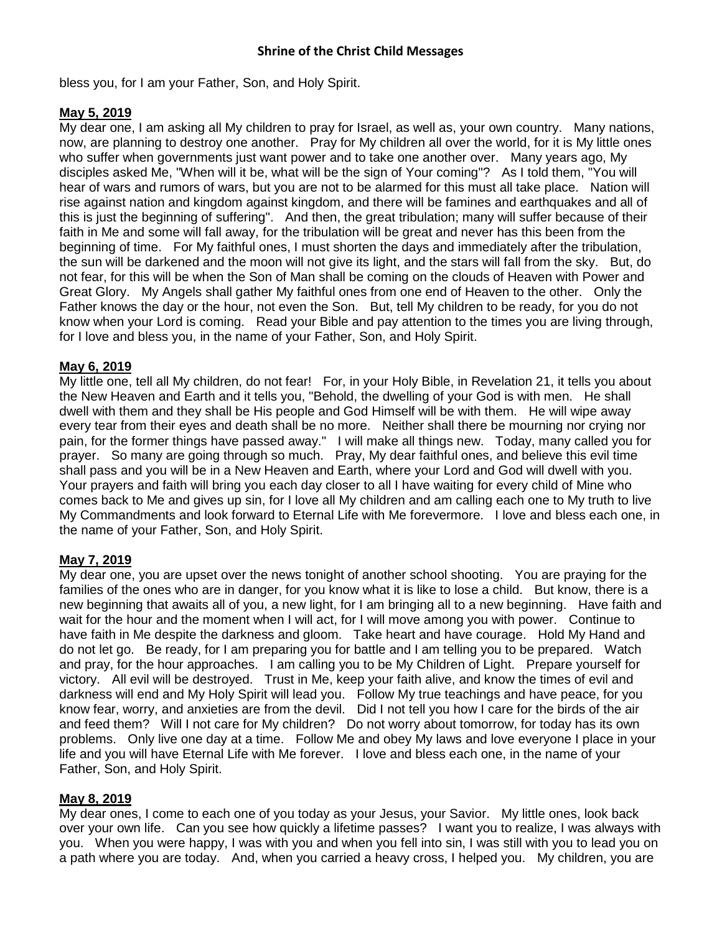bless you, for I am your Father, Son, and Holy Spirit.

# **May 5, 2019**

My dear one, I am asking all My children to pray for Israel, as well as, your own country. Many nations, now, are planning to destroy one another. Pray for My children all over the world, for it is My little ones who suffer when governments just want power and to take one another over. Many years ago, My disciples asked Me, "When will it be, what will be the sign of Your coming"? As I told them, "You will hear of wars and rumors of wars, but you are not to be alarmed for this must all take place. Nation will rise against nation and kingdom against kingdom, and there will be famines and earthquakes and all of this is just the beginning of suffering". And then, the great tribulation; many will suffer because of their faith in Me and some will fall away, for the tribulation will be great and never has this been from the beginning of time. For My faithful ones, I must shorten the days and immediately after the tribulation, the sun will be darkened and the moon will not give its light, and the stars will fall from the sky. But, do not fear, for this will be when the Son of Man shall be coming on the clouds of Heaven with Power and Great Glory. My Angels shall gather My faithful ones from one end of Heaven to the other. Only the Father knows the day or the hour, not even the Son. But, tell My children to be ready, for you do not know when your Lord is coming. Read your Bible and pay attention to the times you are living through, for I love and bless you, in the name of your Father, Son, and Holy Spirit.

# **May 6, 2019**

My little one, tell all My children, do not fear! For, in your Holy Bible, in Revelation 21, it tells you about the New Heaven and Earth and it tells you, "Behold, the dwelling of your God is with men. He shall dwell with them and they shall be His people and God Himself will be with them. He will wipe away every tear from their eyes and death shall be no more. Neither shall there be mourning nor crying nor pain, for the former things have passed away." I will make all things new. Today, many called you for prayer. So many are going through so much. Pray, My dear faithful ones, and believe this evil time shall pass and you will be in a New Heaven and Earth, where your Lord and God will dwell with you. Your prayers and faith will bring you each day closer to all I have waiting for every child of Mine who comes back to Me and gives up sin, for I love all My children and am calling each one to My truth to live My Commandments and look forward to Eternal Life with Me forevermore. I love and bless each one, in the name of your Father, Son, and Holy Spirit.

# **May 7, 2019**

My dear one, you are upset over the news tonight of another school shooting. You are praying for the families of the ones who are in danger, for you know what it is like to lose a child. But know, there is a new beginning that awaits all of you, a new light, for I am bringing all to a new beginning. Have faith and wait for the hour and the moment when I will act, for I will move among you with power. Continue to have faith in Me despite the darkness and gloom. Take heart and have courage. Hold My Hand and do not let go. Be ready, for I am preparing you for battle and I am telling you to be prepared. Watch and pray, for the hour approaches. I am calling you to be My Children of Light. Prepare yourself for victory. All evil will be destroyed. Trust in Me, keep your faith alive, and know the times of evil and darkness will end and My Holy Spirit will lead you. Follow My true teachings and have peace, for you know fear, worry, and anxieties are from the devil. Did I not tell you how I care for the birds of the air and feed them? Will I not care for My children? Do not worry about tomorrow, for today has its own problems. Only live one day at a time. Follow Me and obey My laws and love everyone I place in your life and you will have Eternal Life with Me forever. I love and bless each one, in the name of your Father, Son, and Holy Spirit.

# **May 8, 2019**

My dear ones, I come to each one of you today as your Jesus, your Savior. My little ones, look back over your own life. Can you see how quickly a lifetime passes? I want you to realize, I was always with you. When you were happy, I was with you and when you fell into sin, I was still with you to lead you on a path where you are today. And, when you carried a heavy cross, I helped you. My children, you are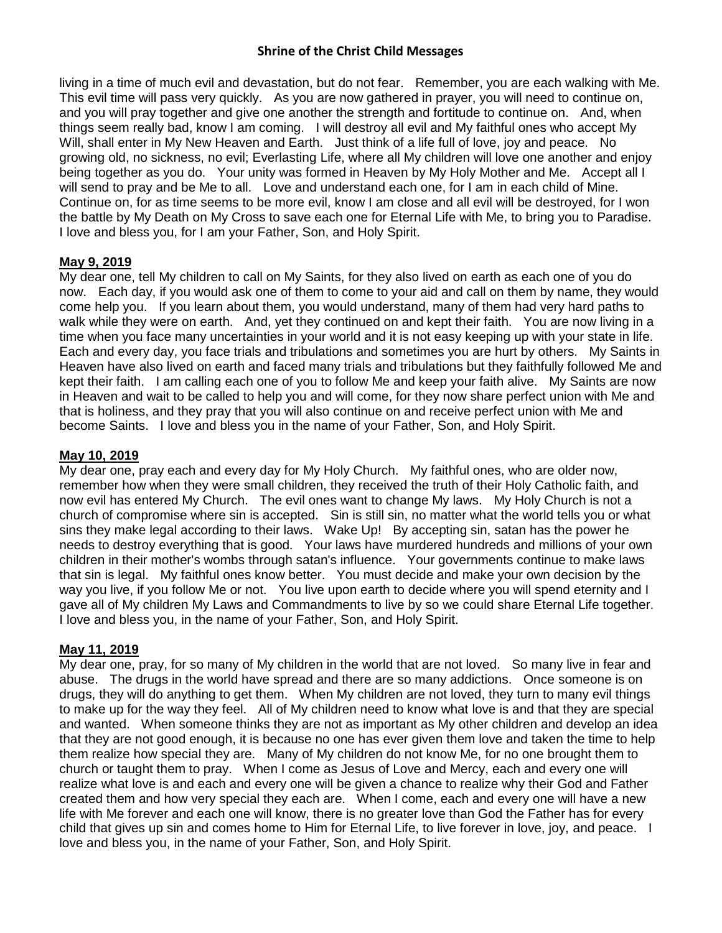living in a time of much evil and devastation, but do not fear. Remember, you are each walking with Me. This evil time will pass very quickly. As you are now gathered in prayer, you will need to continue on, and you will pray together and give one another the strength and fortitude to continue on. And, when things seem really bad, know I am coming. I will destroy all evil and My faithful ones who accept My Will, shall enter in My New Heaven and Earth. Just think of a life full of love, joy and peace. No growing old, no sickness, no evil; Everlasting Life, where all My children will love one another and enjoy being together as you do. Your unity was formed in Heaven by My Holy Mother and Me. Accept all I will send to pray and be Me to all. Love and understand each one, for I am in each child of Mine. Continue on, for as time seems to be more evil, know I am close and all evil will be destroyed, for I won the battle by My Death on My Cross to save each one for Eternal Life with Me, to bring you to Paradise. I love and bless you, for I am your Father, Son, and Holy Spirit.

# **May 9, 2019**

My dear one, tell My children to call on My Saints, for they also lived on earth as each one of you do now. Each day, if you would ask one of them to come to your aid and call on them by name, they would come help you. If you learn about them, you would understand, many of them had very hard paths to walk while they were on earth. And, yet they continued on and kept their faith. You are now living in a time when you face many uncertainties in your world and it is not easy keeping up with your state in life. Each and every day, you face trials and tribulations and sometimes you are hurt by others. My Saints in Heaven have also lived on earth and faced many trials and tribulations but they faithfully followed Me and kept their faith. I am calling each one of you to follow Me and keep your faith alive. My Saints are now in Heaven and wait to be called to help you and will come, for they now share perfect union with Me and that is holiness, and they pray that you will also continue on and receive perfect union with Me and become Saints. I love and bless you in the name of your Father, Son, and Holy Spirit.

# **May 10, 2019**

My dear one, pray each and every day for My Holy Church. My faithful ones, who are older now, remember how when they were small children, they received the truth of their Holy Catholic faith, and now evil has entered My Church. The evil ones want to change My laws. My Holy Church is not a church of compromise where sin is accepted. Sin is still sin, no matter what the world tells you or what sins they make legal according to their laws. Wake Up! By accepting sin, satan has the power he needs to destroy everything that is good. Your laws have murdered hundreds and millions of your own children in their mother's wombs through satan's influence. Your governments continue to make laws that sin is legal. My faithful ones know better. You must decide and make your own decision by the way you live, if you follow Me or not. You live upon earth to decide where you will spend eternity and I gave all of My children My Laws and Commandments to live by so we could share Eternal Life together. I love and bless you, in the name of your Father, Son, and Holy Spirit.

# **May 11, 2019**

My dear one, pray, for so many of My children in the world that are not loved. So many live in fear and abuse. The drugs in the world have spread and there are so many addictions. Once someone is on drugs, they will do anything to get them. When My children are not loved, they turn to many evil things to make up for the way they feel. All of My children need to know what love is and that they are special and wanted. When someone thinks they are not as important as My other children and develop an idea that they are not good enough, it is because no one has ever given them love and taken the time to help them realize how special they are. Many of My children do not know Me, for no one brought them to church or taught them to pray. When I come as Jesus of Love and Mercy, each and every one will realize what love is and each and every one will be given a chance to realize why their God and Father created them and how very special they each are. When I come, each and every one will have a new life with Me forever and each one will know, there is no greater love than God the Father has for every child that gives up sin and comes home to Him for Eternal Life, to live forever in love, joy, and peace. I love and bless you, in the name of your Father, Son, and Holy Spirit.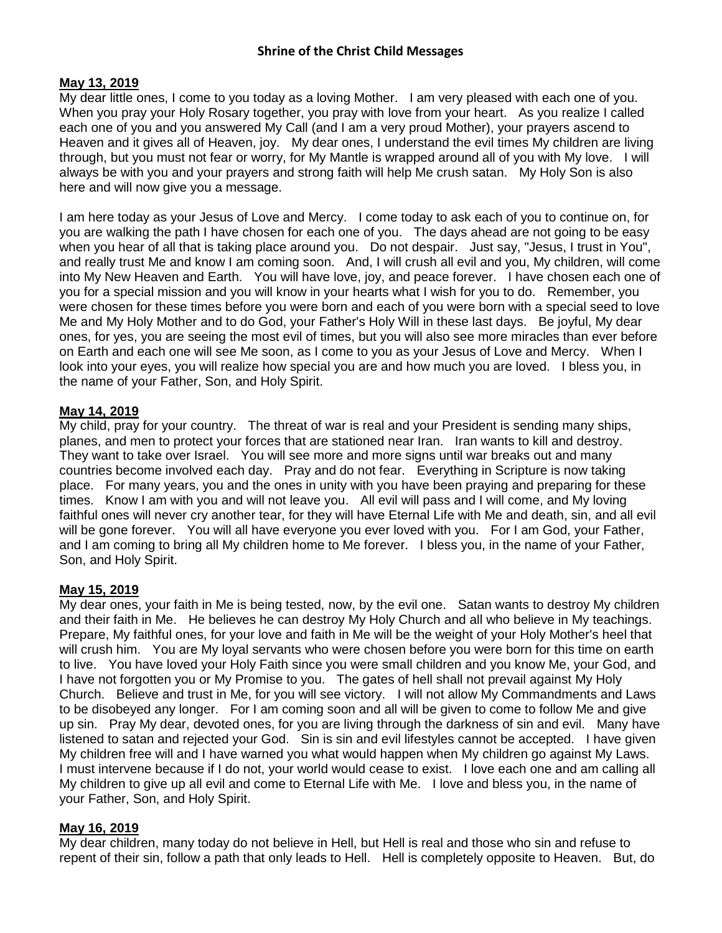# **May 13, 2019**

My dear little ones, I come to you today as a loving Mother. I am very pleased with each one of you. When you pray your Holy Rosary together, you pray with love from your heart. As you realize I called each one of you and you answered My Call (and I am a very proud Mother), your prayers ascend to Heaven and it gives all of Heaven, joy. My dear ones, I understand the evil times My children are living through, but you must not fear or worry, for My Mantle is wrapped around all of you with My love. I will always be with you and your prayers and strong faith will help Me crush satan. My Holy Son is also here and will now give you a message.

I am here today as your Jesus of Love and Mercy. I come today to ask each of you to continue on, for you are walking the path I have chosen for each one of you. The days ahead are not going to be easy when you hear of all that is taking place around you. Do not despair. Just say, "Jesus, I trust in You", and really trust Me and know I am coming soon. And, I will crush all evil and you, My children, will come into My New Heaven and Earth. You will have love, joy, and peace forever. I have chosen each one of you for a special mission and you will know in your hearts what I wish for you to do. Remember, you were chosen for these times before you were born and each of you were born with a special seed to love Me and My Holy Mother and to do God, your Father's Holy Will in these last days. Be joyful, My dear ones, for yes, you are seeing the most evil of times, but you will also see more miracles than ever before on Earth and each one will see Me soon, as I come to you as your Jesus of Love and Mercy. When I look into your eyes, you will realize how special you are and how much you are loved. I bless you, in the name of your Father, Son, and Holy Spirit.

# **May 14, 2019**

My child, pray for your country. The threat of war is real and your President is sending many ships, planes, and men to protect your forces that are stationed near Iran. Iran wants to kill and destroy. They want to take over Israel. You will see more and more signs until war breaks out and many countries become involved each day. Pray and do not fear. Everything in Scripture is now taking place. For many years, you and the ones in unity with you have been praying and preparing for these times. Know I am with you and will not leave you. All evil will pass and I will come, and My loving faithful ones will never cry another tear, for they will have Eternal Life with Me and death, sin, and all evil will be gone forever. You will all have everyone you ever loved with you. For I am God, your Father, and I am coming to bring all My children home to Me forever. I bless you, in the name of your Father, Son, and Holy Spirit.

# **May 15, 2019**

My dear ones, your faith in Me is being tested, now, by the evil one. Satan wants to destroy My children and their faith in Me. He believes he can destroy My Holy Church and all who believe in My teachings. Prepare, My faithful ones, for your love and faith in Me will be the weight of your Holy Mother's heel that will crush him. You are My loyal servants who were chosen before you were born for this time on earth to live. You have loved your Holy Faith since you were small children and you know Me, your God, and I have not forgotten you or My Promise to you. The gates of hell shall not prevail against My Holy Church. Believe and trust in Me, for you will see victory. I will not allow My Commandments and Laws to be disobeyed any longer. For I am coming soon and all will be given to come to follow Me and give up sin. Pray My dear, devoted ones, for you are living through the darkness of sin and evil. Many have listened to satan and rejected your God. Sin is sin and evil lifestyles cannot be accepted. I have given My children free will and I have warned you what would happen when My children go against My Laws. I must intervene because if I do not, your world would cease to exist. I love each one and am calling all My children to give up all evil and come to Eternal Life with Me. I love and bless you, in the name of your Father, Son, and Holy Spirit.

# **May 16, 2019**

My dear children, many today do not believe in Hell, but Hell is real and those who sin and refuse to repent of their sin, follow a path that only leads to Hell. Hell is completely opposite to Heaven. But, do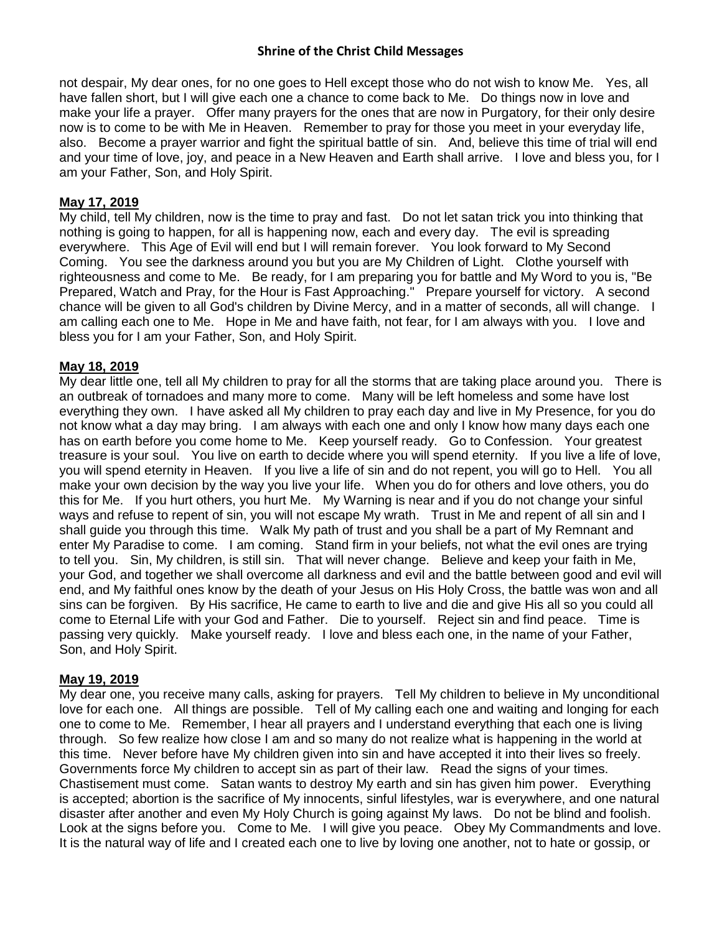not despair, My dear ones, for no one goes to Hell except those who do not wish to know Me. Yes, all have fallen short, but I will give each one a chance to come back to Me. Do things now in love and make your life a prayer. Offer many prayers for the ones that are now in Purgatory, for their only desire now is to come to be with Me in Heaven. Remember to pray for those you meet in your everyday life, also. Become a prayer warrior and fight the spiritual battle of sin. And, believe this time of trial will end and your time of love, joy, and peace in a New Heaven and Earth shall arrive. I love and bless you, for I am your Father, Son, and Holy Spirit.

### **May 17, 2019**

My child, tell My children, now is the time to pray and fast. Do not let satan trick you into thinking that nothing is going to happen, for all is happening now, each and every day. The evil is spreading everywhere. This Age of Evil will end but I will remain forever. You look forward to My Second Coming. You see the darkness around you but you are My Children of Light. Clothe yourself with righteousness and come to Me. Be ready, for I am preparing you for battle and My Word to you is, "Be Prepared, Watch and Pray, for the Hour is Fast Approaching." Prepare yourself for victory. A second chance will be given to all God's children by Divine Mercy, and in a matter of seconds, all will change. I am calling each one to Me. Hope in Me and have faith, not fear, for I am always with you. I love and bless you for I am your Father, Son, and Holy Spirit.

#### **May 18, 2019**

My dear little one, tell all My children to pray for all the storms that are taking place around you. There is an outbreak of tornadoes and many more to come. Many will be left homeless and some have lost everything they own. I have asked all My children to pray each day and live in My Presence, for you do not know what a day may bring. I am always with each one and only I know how many days each one has on earth before you come home to Me. Keep yourself ready. Go to Confession. Your greatest treasure is your soul. You live on earth to decide where you will spend eternity. If you live a life of love, you will spend eternity in Heaven. If you live a life of sin and do not repent, you will go to Hell. You all make your own decision by the way you live your life. When you do for others and love others, you do this for Me. If you hurt others, you hurt Me. My Warning is near and if you do not change your sinful ways and refuse to repent of sin, you will not escape My wrath. Trust in Me and repent of all sin and I shall guide you through this time. Walk My path of trust and you shall be a part of My Remnant and enter My Paradise to come. I am coming. Stand firm in your beliefs, not what the evil ones are trying to tell you. Sin, My children, is still sin. That will never change. Believe and keep your faith in Me, your God, and together we shall overcome all darkness and evil and the battle between good and evil will end, and My faithful ones know by the death of your Jesus on His Holy Cross, the battle was won and all sins can be forgiven. By His sacrifice, He came to earth to live and die and give His all so you could all come to Eternal Life with your God and Father. Die to yourself. Reject sin and find peace. Time is passing very quickly. Make yourself ready. I love and bless each one, in the name of your Father, Son, and Holy Spirit.

#### **May 19, 2019**

My dear one, you receive many calls, asking for prayers. Tell My children to believe in My unconditional love for each one. All things are possible. Tell of My calling each one and waiting and longing for each one to come to Me. Remember, I hear all prayers and I understand everything that each one is living through. So few realize how close I am and so many do not realize what is happening in the world at this time. Never before have My children given into sin and have accepted it into their lives so freely. Governments force My children to accept sin as part of their law. Read the signs of your times. Chastisement must come. Satan wants to destroy My earth and sin has given him power. Everything is accepted; abortion is the sacrifice of My innocents, sinful lifestyles, war is everywhere, and one natural disaster after another and even My Holy Church is going against My laws. Do not be blind and foolish. Look at the signs before you. Come to Me. I will give you peace. Obey My Commandments and love. It is the natural way of life and I created each one to live by loving one another, not to hate or gossip, or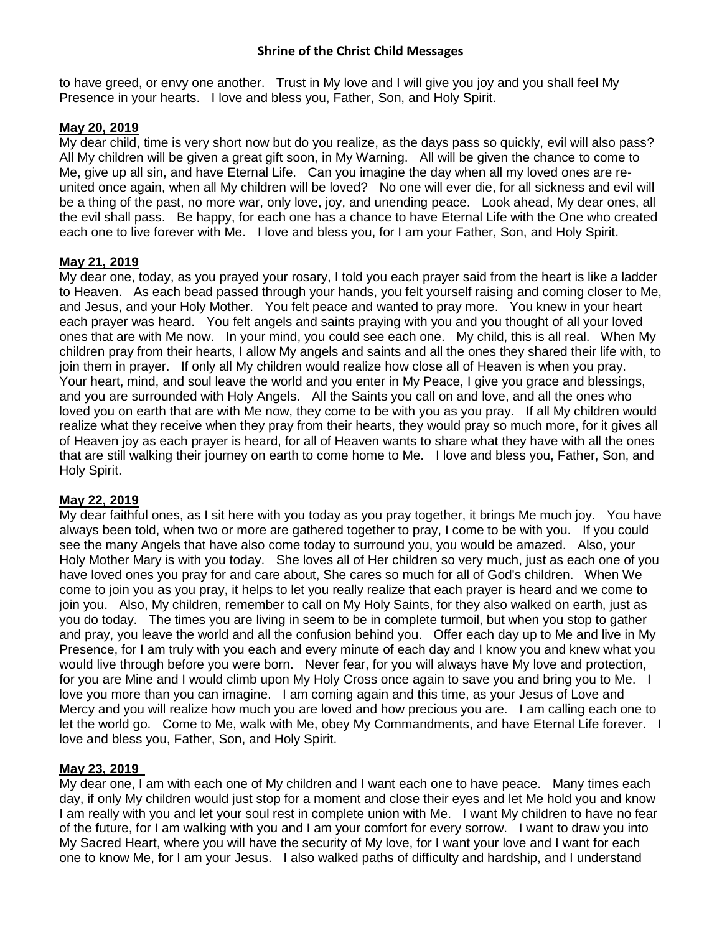to have greed, or envy one another. Trust in My love and I will give you joy and you shall feel My Presence in your hearts. I love and bless you, Father, Son, and Holy Spirit.

# **May 20, 2019**

My dear child, time is very short now but do you realize, as the days pass so quickly, evil will also pass? All My children will be given a great gift soon, in My Warning. All will be given the chance to come to Me, give up all sin, and have Eternal Life. Can you imagine the day when all my loved ones are reunited once again, when all My children will be loved? No one will ever die, for all sickness and evil will be a thing of the past, no more war, only love, joy, and unending peace. Look ahead, My dear ones, all the evil shall pass. Be happy, for each one has a chance to have Eternal Life with the One who created each one to live forever with Me. I love and bless you, for I am your Father, Son, and Holy Spirit.

# **May 21, 2019**

My dear one, today, as you prayed your rosary, I told you each prayer said from the heart is like a ladder to Heaven. As each bead passed through your hands, you felt yourself raising and coming closer to Me, and Jesus, and your Holy Mother. You felt peace and wanted to pray more. You knew in your heart each prayer was heard. You felt angels and saints praying with you and you thought of all your loved ones that are with Me now. In your mind, you could see each one. My child, this is all real. When My children pray from their hearts, I allow My angels and saints and all the ones they shared their life with, to join them in prayer. If only all My children would realize how close all of Heaven is when you pray. Your heart, mind, and soul leave the world and you enter in My Peace, I give you grace and blessings, and you are surrounded with Holy Angels. All the Saints you call on and love, and all the ones who loved you on earth that are with Me now, they come to be with you as you pray. If all My children would realize what they receive when they pray from their hearts, they would pray so much more, for it gives all of Heaven joy as each prayer is heard, for all of Heaven wants to share what they have with all the ones that are still walking their journey on earth to come home to Me. I love and bless you, Father, Son, and Holy Spirit.

# **May 22, 2019**

My dear faithful ones, as I sit here with you today as you pray together, it brings Me much joy. You have always been told, when two or more are gathered together to pray, I come to be with you. If you could see the many Angels that have also come today to surround you, you would be amazed. Also, your Holy Mother Mary is with you today. She loves all of Her children so very much, just as each one of you have loved ones you pray for and care about, She cares so much for all of God's children. When We come to join you as you pray, it helps to let you really realize that each prayer is heard and we come to join you. Also, My children, remember to call on My Holy Saints, for they also walked on earth, just as you do today. The times you are living in seem to be in complete turmoil, but when you stop to gather and pray, you leave the world and all the confusion behind you. Offer each day up to Me and live in My Presence, for I am truly with you each and every minute of each day and I know you and knew what you would live through before you were born. Never fear, for you will always have My love and protection, for you are Mine and I would climb upon My Holy Cross once again to save you and bring you to Me. I love you more than you can imagine. I am coming again and this time, as your Jesus of Love and Mercy and you will realize how much you are loved and how precious you are. I am calling each one to let the world go. Come to Me, walk with Me, obey My Commandments, and have Eternal Life forever. I love and bless you, Father, Son, and Holy Spirit.

# **May 23, 2019**

My dear one, I am with each one of My children and I want each one to have peace. Many times each day, if only My children would just stop for a moment and close their eyes and let Me hold you and know I am really with you and let your soul rest in complete union with Me. I want My children to have no fear of the future, for I am walking with you and I am your comfort for every sorrow. I want to draw you into My Sacred Heart, where you will have the security of My love, for I want your love and I want for each one to know Me, for I am your Jesus. I also walked paths of difficulty and hardship, and I understand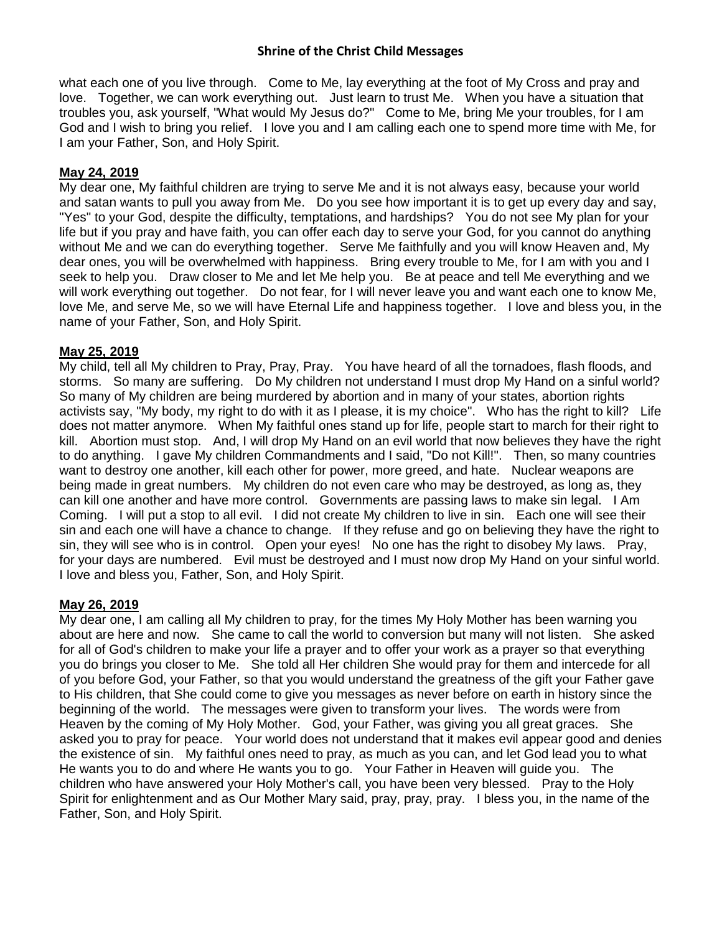what each one of you live through. Come to Me, lay everything at the foot of My Cross and pray and love. Together, we can work everything out. Just learn to trust Me. When you have a situation that troubles you, ask yourself, "What would My Jesus do?" Come to Me, bring Me your troubles, for I am God and I wish to bring you relief. I love you and I am calling each one to spend more time with Me, for I am your Father, Son, and Holy Spirit.

# **May 24, 2019**

My dear one, My faithful children are trying to serve Me and it is not always easy, because your world and satan wants to pull you away from Me. Do you see how important it is to get up every day and say, "Yes" to your God, despite the difficulty, temptations, and hardships? You do not see My plan for your life but if you pray and have faith, you can offer each day to serve your God, for you cannot do anything without Me and we can do everything together. Serve Me faithfully and you will know Heaven and, My dear ones, you will be overwhelmed with happiness. Bring every trouble to Me, for I am with you and I seek to help you. Draw closer to Me and let Me help you. Be at peace and tell Me everything and we will work everything out together. Do not fear, for I will never leave you and want each one to know Me, love Me, and serve Me, so we will have Eternal Life and happiness together. I love and bless you, in the name of your Father, Son, and Holy Spirit.

# **May 25, 2019**

My child, tell all My children to Pray, Pray, Pray. You have heard of all the tornadoes, flash floods, and storms. So many are suffering. Do My children not understand I must drop My Hand on a sinful world? So many of My children are being murdered by abortion and in many of your states, abortion rights activists say, "My body, my right to do with it as I please, it is my choice". Who has the right to kill? Life does not matter anymore. When My faithful ones stand up for life, people start to march for their right to kill. Abortion must stop. And, I will drop My Hand on an evil world that now believes they have the right to do anything. I gave My children Commandments and I said, "Do not Kill!". Then, so many countries want to destroy one another, kill each other for power, more greed, and hate. Nuclear weapons are being made in great numbers. My children do not even care who may be destroyed, as long as, they can kill one another and have more control. Governments are passing laws to make sin legal. I Am Coming. I will put a stop to all evil. I did not create My children to live in sin. Each one will see their sin and each one will have a chance to change. If they refuse and go on believing they have the right to sin, they will see who is in control. Open your eyes! No one has the right to disobey My laws. Pray, for your days are numbered. Evil must be destroyed and I must now drop My Hand on your sinful world. I love and bless you, Father, Son, and Holy Spirit.

# **May 26, 2019**

My dear one, I am calling all My children to pray, for the times My Holy Mother has been warning you about are here and now. She came to call the world to conversion but many will not listen. She asked for all of God's children to make your life a prayer and to offer your work as a prayer so that everything you do brings you closer to Me. She told all Her children She would pray for them and intercede for all of you before God, your Father, so that you would understand the greatness of the gift your Father gave to His children, that She could come to give you messages as never before on earth in history since the beginning of the world. The messages were given to transform your lives. The words were from Heaven by the coming of My Holy Mother. God, your Father, was giving you all great graces. She asked you to pray for peace. Your world does not understand that it makes evil appear good and denies the existence of sin. My faithful ones need to pray, as much as you can, and let God lead you to what He wants you to do and where He wants you to go. Your Father in Heaven will guide you. The children who have answered your Holy Mother's call, you have been very blessed. Pray to the Holy Spirit for enlightenment and as Our Mother Mary said, pray, pray, pray. I bless you, in the name of the Father, Son, and Holy Spirit.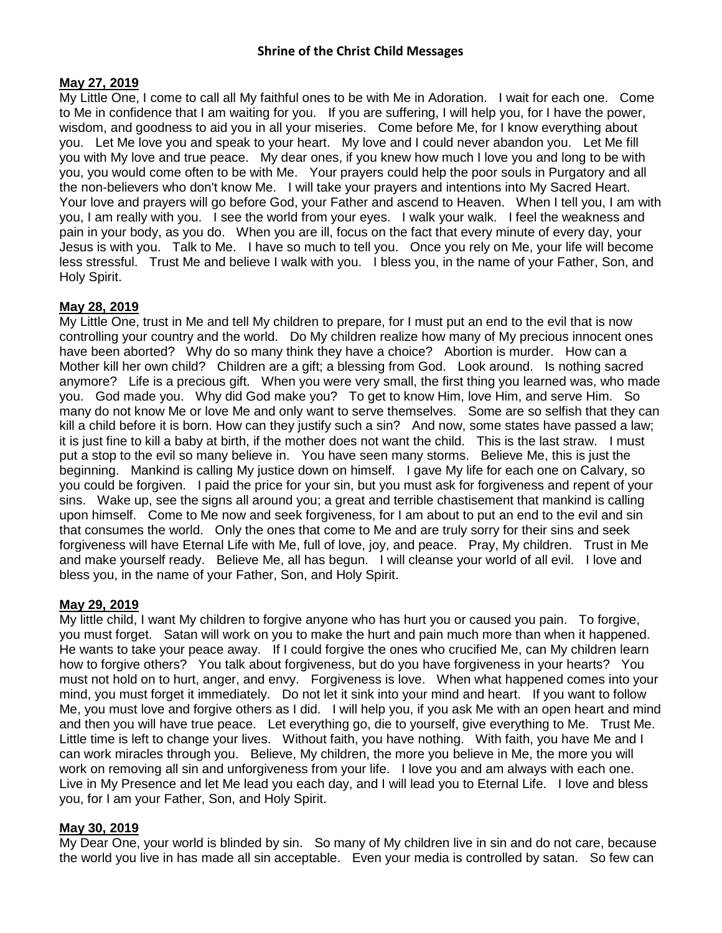# **May 27, 2019**

My Little One, I come to call all My faithful ones to be with Me in Adoration. I wait for each one. Come to Me in confidence that I am waiting for you. If you are suffering, I will help you, for I have the power, wisdom, and goodness to aid you in all your miseries. Come before Me, for I know everything about you. Let Me love you and speak to your heart. My love and I could never abandon you. Let Me fill you with My love and true peace. My dear ones, if you knew how much I love you and long to be with you, you would come often to be with Me. Your prayers could help the poor souls in Purgatory and all the non-believers who don't know Me. I will take your prayers and intentions into My Sacred Heart. Your love and prayers will go before God, your Father and ascend to Heaven. When I tell you, I am with you, I am really with you. I see the world from your eyes. I walk your walk. I feel the weakness and pain in your body, as you do. When you are ill, focus on the fact that every minute of every day, your Jesus is with you. Talk to Me. I have so much to tell you. Once you rely on Me, your life will become less stressful. Trust Me and believe I walk with you. I bless you, in the name of your Father, Son, and Holy Spirit.

# **May 28, 2019**

My Little One, trust in Me and tell My children to prepare, for I must put an end to the evil that is now controlling your country and the world. Do My children realize how many of My precious innocent ones have been aborted? Why do so many think they have a choice? Abortion is murder. How can a Mother kill her own child? Children are a gift; a blessing from God. Look around. Is nothing sacred anymore? Life is a precious gift. When you were very small, the first thing you learned was, who made you. God made you. Why did God make you? To get to know Him, love Him, and serve Him. So many do not know Me or love Me and only want to serve themselves. Some are so selfish that they can kill a child before it is born. How can they justify such a sin? And now, some states have passed a law; it is just fine to kill a baby at birth, if the mother does not want the child. This is the last straw. I must put a stop to the evil so many believe in. You have seen many storms. Believe Me, this is just the beginning. Mankind is calling My justice down on himself. I gave My life for each one on Calvary, so you could be forgiven. I paid the price for your sin, but you must ask for forgiveness and repent of your sins. Wake up, see the signs all around you; a great and terrible chastisement that mankind is calling upon himself. Come to Me now and seek forgiveness, for I am about to put an end to the evil and sin that consumes the world. Only the ones that come to Me and are truly sorry for their sins and seek forgiveness will have Eternal Life with Me, full of love, joy, and peace. Pray, My children. Trust in Me and make yourself ready. Believe Me, all has begun. I will cleanse your world of all evil. I love and bless you, in the name of your Father, Son, and Holy Spirit.

# **May 29, 2019**

My little child, I want My children to forgive anyone who has hurt you or caused you pain. To forgive, you must forget. Satan will work on you to make the hurt and pain much more than when it happened. He wants to take your peace away. If I could forgive the ones who crucified Me, can My children learn how to forgive others? You talk about forgiveness, but do you have forgiveness in your hearts? You must not hold on to hurt, anger, and envy. Forgiveness is love. When what happened comes into your mind, you must forget it immediately. Do not let it sink into your mind and heart. If you want to follow Me, you must love and forgive others as I did. I will help you, if you ask Me with an open heart and mind and then you will have true peace. Let everything go, die to yourself, give everything to Me. Trust Me. Little time is left to change your lives. Without faith, you have nothing. With faith, you have Me and I can work miracles through you. Believe, My children, the more you believe in Me, the more you will work on removing all sin and unforgiveness from your life. I love you and am always with each one. Live in My Presence and let Me lead you each day, and I will lead you to Eternal Life. I love and bless you, for I am your Father, Son, and Holy Spirit.

# **May 30, 2019**

My Dear One, your world is blinded by sin. So many of My children live in sin and do not care, because the world you live in has made all sin acceptable. Even your media is controlled by satan. So few can